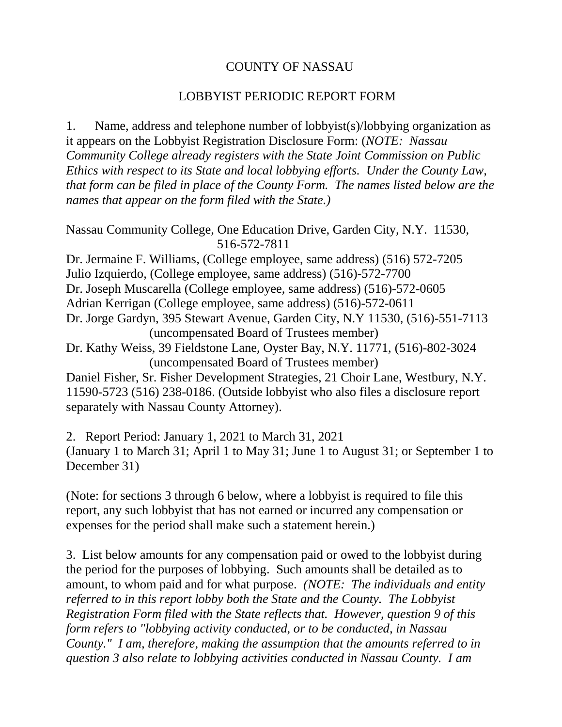## COUNTY OF NASSAU

## LOBBYIST PERIODIC REPORT FORM

1. Name, address and telephone number of lobbyist(s)/lobbying organization as it appears on the Lobbyist Registration Disclosure Form: (*NOTE: Nassau Community College already registers with the State Joint Commission on Public Ethics with respect to its State and local lobbying efforts. Under the County Law, that form can be filed in place of the County Form. The names listed below are the names that appear on the form filed with the State.)*

Nassau Community College, One Education Drive, Garden City, N.Y. 11530, 516-572-7811

Dr. Jermaine F. Williams, (College employee, same address) (516) 572-7205 Julio Izquierdo, (College employee, same address) (516)-572-7700 Dr. Joseph Muscarella (College employee, same address) (516)-572-0605 Adrian Kerrigan (College employee, same address) (516)-572-0611 Dr. Jorge Gardyn, 395 Stewart Avenue, Garden City, N.Y 11530, (516)-551-7113 (uncompensated Board of Trustees member)

Dr. Kathy Weiss, 39 Fieldstone Lane, Oyster Bay, N.Y. 11771, (516)-802-3024 (uncompensated Board of Trustees member)

Daniel Fisher, Sr. Fisher Development Strategies, 21 Choir Lane, Westbury, N.Y. 11590-5723 (516) 238-0186. (Outside lobbyist who also files a disclosure report separately with Nassau County Attorney).

2. Report Period: January 1, 2021 to March 31, 2021 (January 1 to March 31; April 1 to May 31; June 1 to August 31; or September 1 to December 31)

(Note: for sections 3 through 6 below, where a lobbyist is required to file this report, any such lobbyist that has not earned or incurred any compensation or expenses for the period shall make such a statement herein.)

3. List below amounts for any compensation paid or owed to the lobbyist during the period for the purposes of lobbying. Such amounts shall be detailed as to amount, to whom paid and for what purpose. *(NOTE: The individuals and entity referred to in this report lobby both the State and the County. The Lobbyist Registration Form filed with the State reflects that. However, question 9 of this form refers to "lobbying activity conducted, or to be conducted, in Nassau County." I am, therefore, making the assumption that the amounts referred to in question 3 also relate to lobbying activities conducted in Nassau County. I am*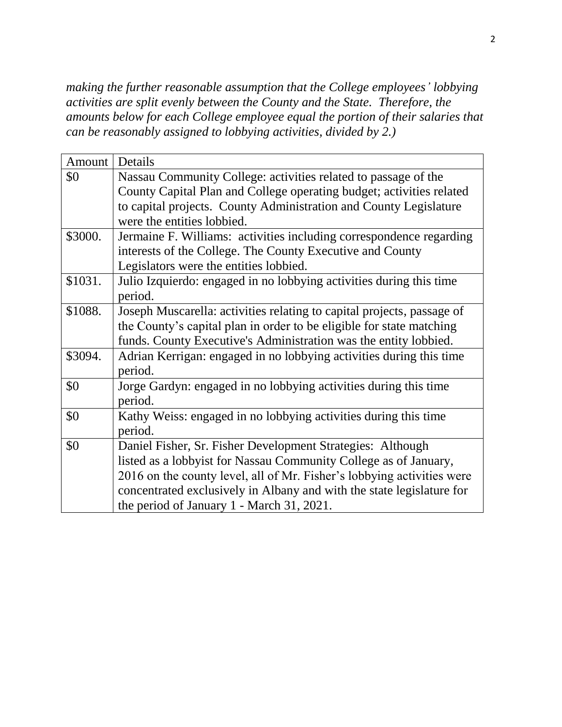*making the further reasonable assumption that the College employees' lobbying activities are split evenly between the County and the State. Therefore, the amounts below for each College employee equal the portion of their salaries that can be reasonably assigned to lobbying activities, divided by 2.)*

| Amount  | Details                                                                |  |  |  |
|---------|------------------------------------------------------------------------|--|--|--|
| \$0     | Nassau Community College: activities related to passage of the         |  |  |  |
|         | County Capital Plan and College operating budget; activities related   |  |  |  |
|         | to capital projects. County Administration and County Legislature      |  |  |  |
|         | were the entities lobbied.                                             |  |  |  |
| \$3000. | Jermaine F. Williams: activities including correspondence regarding    |  |  |  |
|         | interests of the College. The County Executive and County              |  |  |  |
|         | Legislators were the entities lobbied.                                 |  |  |  |
| \$1031. | Julio Izquierdo: engaged in no lobbying activities during this time    |  |  |  |
|         | period.                                                                |  |  |  |
| \$1088. | Joseph Muscarella: activities relating to capital projects, passage of |  |  |  |
|         | the County's capital plan in order to be eligible for state matching   |  |  |  |
|         | funds. County Executive's Administration was the entity lobbied.       |  |  |  |
| \$3094. | Adrian Kerrigan: engaged in no lobbying activities during this time    |  |  |  |
|         | period.                                                                |  |  |  |
| \$0     | Jorge Gardyn: engaged in no lobbying activities during this time       |  |  |  |
|         | period.                                                                |  |  |  |
| \$0     | Kathy Weiss: engaged in no lobbying activities during this time        |  |  |  |
|         | period.                                                                |  |  |  |
| \$0     | Daniel Fisher, Sr. Fisher Development Strategies: Although             |  |  |  |
|         | listed as a lobbyist for Nassau Community College as of January,       |  |  |  |
|         | 2016 on the county level, all of Mr. Fisher's lobbying activities were |  |  |  |
|         | concentrated exclusively in Albany and with the state legislature for  |  |  |  |
|         | the period of January 1 - March 31, 2021.                              |  |  |  |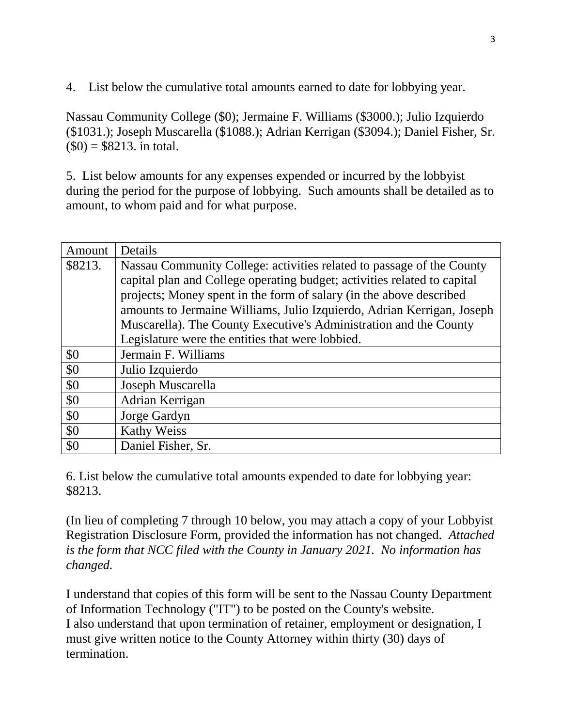4. List below the cumulative total amounts earned to date for lobbying year.

Nassau Community College (\$0); Jermaine F. Williams (\$3000.); Julio Izquierdo (\$1031.); Joseph Muscarella (\$1088.); Adrian Kerrigan (\$3094.); Daniel Fisher, Sr.  $$0) = $8213$ . in total.

5. List below amounts for any expenses expended or incurred by the lobbyist during the period for the purpose of lobbying. Such amounts shall be detailed as to amount, to whom paid and for what purpose.

| Amount  | Details                                                                  |  |  |  |
|---------|--------------------------------------------------------------------------|--|--|--|
| \$8213. | Nassau Community College: activities related to passage of the County    |  |  |  |
|         | capital plan and College operating budget; activities related to capital |  |  |  |
|         | projects; Money spent in the form of salary (in the above described      |  |  |  |
|         | amounts to Jermaine Williams, Julio Izquierdo, Adrian Kerrigan, Joseph   |  |  |  |
|         | Muscarella). The County Executive's Administration and the County        |  |  |  |
|         | Legislature were the entities that were lobbied.                         |  |  |  |
| \$0     | Jermain F. Williams                                                      |  |  |  |
| \$0     | Julio Izquierdo                                                          |  |  |  |
| \$0     | Joseph Muscarella                                                        |  |  |  |
| \$0     | Adrian Kerrigan                                                          |  |  |  |
| \$0     | Jorge Gardyn                                                             |  |  |  |
| \$0     | <b>Kathy Weiss</b>                                                       |  |  |  |
| \$0     | Daniel Fisher, Sr.                                                       |  |  |  |

6. List below the cumulative total amounts expended to date for lobbying year: \$8213.

(In lieu of completing 7 through 10 below, you may attach a copy of your Lobbyist Registration Disclosure Form, provided the information has not changed. *Attached is the form that NCC filed with the County in January 2021. No information has changed.*

I understand that copies of this form will be sent to the Nassau County Department of Information Technology ("IT") to be posted on the County's website. I also understand that upon termination of retainer, employment or designation, I must give written notice to the County Attorney within thirty (30) days of termination.